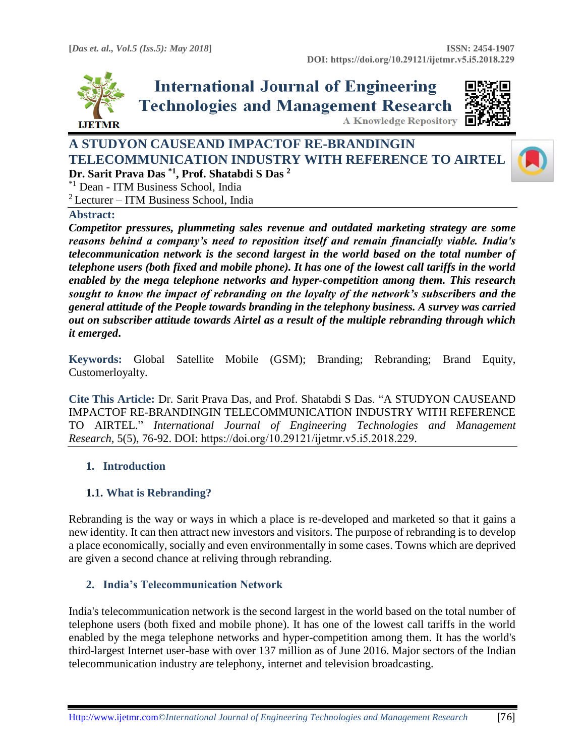

**International Journal of Engineering Technologies and Management Research A Knowledge Repository** 



# **A STUDYON CAUSEAND IMPACTOF RE-BRANDINGIN TELECOMMUNICATION INDUSTRY WITH REFERENCE TO AIRTEL Dr. Sarit Prava Das \*1 , Prof. Shatabdi S Das <sup>2</sup>**



\*1 Dean - ITM Business School, India <sup>2</sup> Lecturer – ITM Business School, India

## **Abstract:**

*Competitor pressures, plummeting sales revenue and outdated marketing strategy are some reasons behind a company's need to reposition itself and remain financially viable. India's telecommunication network is the second largest in the world based on the total number of telephone users (both fixed and mobile phone). It has one of the lowest call tariffs in the world enabled by the mega telephone networks and hyper-competition among them. This research sought to know the impact of rebranding on the loyalty of the network's subscribers and the general attitude of the People towards branding in the telephony business. A survey was carried out on subscriber attitude towards Airtel as a result of the multiple rebranding through which it emerged***.**

**Keywords:** Global Satellite Mobile (GSM); Branding; Rebranding; Brand Equity, Customerloyalty*.* 

**Cite This Article:** Dr. Sarit Prava Das, and Prof. Shatabdi S Das. "A STUDYON CAUSEAND IMPACTOF RE-BRANDINGIN TELECOMMUNICATION INDUSTRY WITH REFERENCE TO AIRTEL." *International Journal of Engineering Technologies and Management Research,* 5(5), 76-92. DOI: https://doi.org/10.29121/ijetmr.v5.i5.2018.229.

## **1. Introduction**

## **1.1. What is Rebranding?**

Rebranding is the way or ways in which a place is re-developed and marketed so that it gains a new identity. It can then attract new investors and visitors. The purpose of rebranding is to develop a place economically, socially and even environmentally in some cases. Towns which are deprived are given a second chance at reliving through rebranding.

## **2. India's Telecommunication Network**

India's telecommunication network is the second largest in the world based on the total number of telephone users (both fixed and mobile phone). It has one of the lowest call tariffs in the world enabled by the mega telephone networks and hyper-competition among them. It has the world's third-largest Internet user-base with over 137 million as of June 2016. Major sectors of the Indian telecommunication industry are telephony, internet and television broadcasting.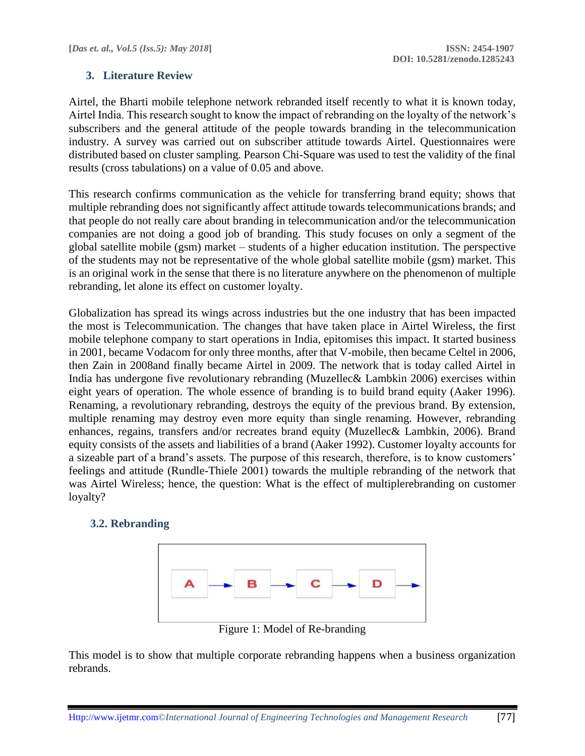## **3. Literature Review**

Airtel, the Bharti mobile telephone network rebranded itself recently to what it is known today, Airtel India. This research sought to know the impact of rebranding on the loyalty of the network's subscribers and the general attitude of the people towards branding in the telecommunication industry. A survey was carried out on subscriber attitude towards Airtel. Questionnaires were distributed based on cluster sampling. Pearson Chi-Square was used to test the validity of the final results (cross tabulations) on a value of 0.05 and above.

This research confirms communication as the vehicle for transferring brand equity; shows that multiple rebranding does not significantly affect attitude towards telecommunications brands; and that people do not really care about branding in telecommunication and/or the telecommunication companies are not doing a good job of branding. This study focuses on only a segment of the global satellite mobile (gsm) market – students of a higher education institution. The perspective of the students may not be representative of the whole global satellite mobile (gsm) market. This is an original work in the sense that there is no literature anywhere on the phenomenon of multiple rebranding, let alone its effect on customer loyalty.

Globalization has spread its wings across industries but the one industry that has been impacted the most is Telecommunication. The changes that have taken place in Airtel Wireless, the first mobile telephone company to start operations in India, epitomises this impact. It started business in 2001, became Vodacom for only three months, after that V-mobile, then became Celtel in 2006, then Zain in 2008and finally became Airtel in 2009. The network that is today called Airtel in India has undergone five revolutionary rebranding (Muzellec& Lambkin 2006) exercises within eight years of operation. The whole essence of branding is to build brand equity (Aaker 1996). Renaming, a revolutionary rebranding, destroys the equity of the previous brand. By extension, multiple renaming may destroy even more equity than single renaming. However, rebranding enhances, regains, transfers and/or recreates brand equity (Muzellec& Lambkin, 2006). Brand equity consists of the assets and liabilities of a brand (Aaker 1992). Customer loyalty accounts for a sizeable part of a brand's assets. The purpose of this research, therefore, is to know customers' feelings and attitude (Rundle-Thiele 2001) towards the multiple rebranding of the network that was Airtel Wireless; hence, the question: What is the effect of multiplerebranding on customer loyalty?

## **3.2. Rebranding**



Figure 1: Model of Re-branding

This model is to show that multiple corporate rebranding happens when a business organization rebrands.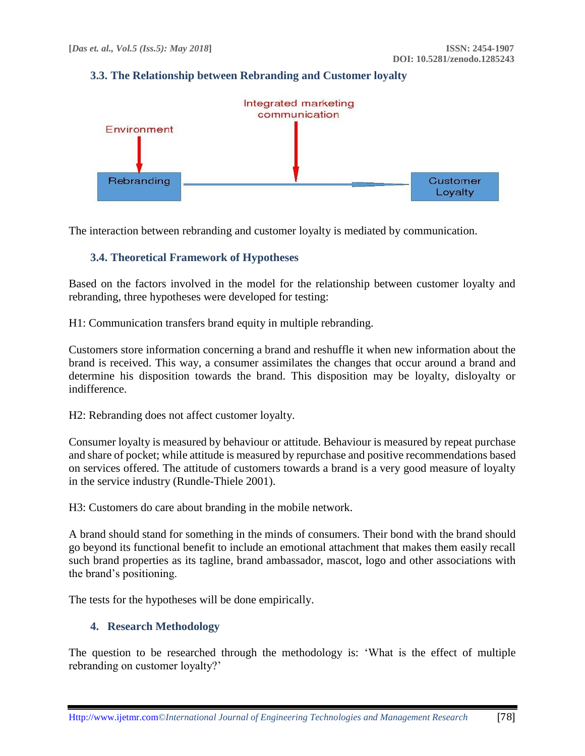## **3.3. The Relationship between Rebranding and Customer loyalty**



The interaction between rebranding and customer loyalty is mediated by communication.

## **3.4. Theoretical Framework of Hypotheses**

Based on the factors involved in the model for the relationship between customer loyalty and rebranding, three hypotheses were developed for testing:

H1: Communication transfers brand equity in multiple rebranding.

Customers store information concerning a brand and reshuffle it when new information about the brand is received. This way, a consumer assimilates the changes that occur around a brand and determine his disposition towards the brand. This disposition may be loyalty, disloyalty or indifference.

H2: Rebranding does not affect customer loyalty.

Consumer loyalty is measured by behaviour or attitude. Behaviour is measured by repeat purchase and share of pocket; while attitude is measured by repurchase and positive recommendations based on services offered. The attitude of customers towards a brand is a very good measure of loyalty in the service industry (Rundle-Thiele 2001).

H3: Customers do care about branding in the mobile network.

A brand should stand for something in the minds of consumers. Their bond with the brand should go beyond its functional benefit to include an emotional attachment that makes them easily recall such brand properties as its tagline, brand ambassador, mascot, logo and other associations with the brand's positioning.

The tests for the hypotheses will be done empirically.

### **4. Research Methodology**

The question to be researched through the methodology is: 'What is the effect of multiple rebranding on customer loyalty?'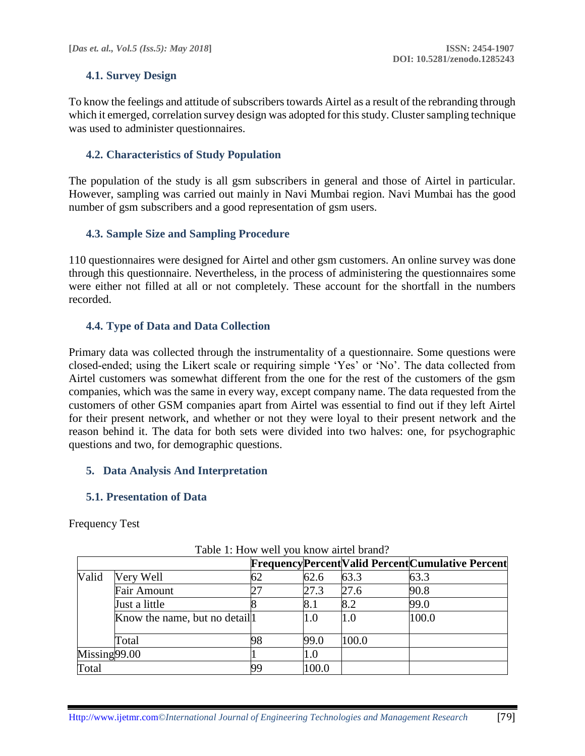## **4.1. Survey Design**

To know the feelings and attitude of subscribers towards Airtel as a result of the rebranding through which it emerged, correlation survey design was adopted for this study. Cluster sampling technique was used to administer questionnaires.

## **4.2. Characteristics of Study Population**

The population of the study is all gsm subscribers in general and those of Airtel in particular. However, sampling was carried out mainly in Navi Mumbai region. Navi Mumbai has the good number of gsm subscribers and a good representation of gsm users.

## **4.3. Sample Size and Sampling Procedure**

110 questionnaires were designed for Airtel and other gsm customers. An online survey was done through this questionnaire. Nevertheless, in the process of administering the questionnaires some were either not filled at all or not completely. These account for the shortfall in the numbers recorded.

## **4.4. Type of Data and Data Collection**

Primary data was collected through the instrumentality of a questionnaire. Some questions were closed-ended; using the Likert scale or requiring simple 'Yes' or 'No'. The data collected from Airtel customers was somewhat different from the one for the rest of the customers of the gsm companies, which was the same in every way, except company name. The data requested from the customers of other GSM companies apart from Airtel was essential to find out if they left Airtel for their present network, and whether or not they were loyal to their present network and the reason behind it. The data for both sets were divided into two halves: one, for psychographic questions and two, for demographic questions.

### **5. Data Analysis And Interpretation**

## **5.1. Presentation of Data**

Frequency Test

|                 |                               |    |       |       | <b>FrequencyPercent Valid Percent Cumulative Percent</b> |
|-----------------|-------------------------------|----|-------|-------|----------------------------------------------------------|
| Valid           | Very Well                     |    | 62.6  | 63.3  | 63.3                                                     |
|                 | <b>Fair Amount</b>            |    | 27.3  | 27.6  | 90.8                                                     |
|                 | Just a little                 |    | 8.1   | 8.2   | 99.0                                                     |
|                 | Know the name, but no detail. |    | 1.0   | 1.0   | 100.0                                                    |
|                 | Total                         | 98 | 99.0  | 100.0 |                                                          |
| $Missing$ 99.00 |                               |    | 1.0   |       |                                                          |
| Total           |                               | 99 | 100.0 |       |                                                          |

Table 1: How well you know airtel brand?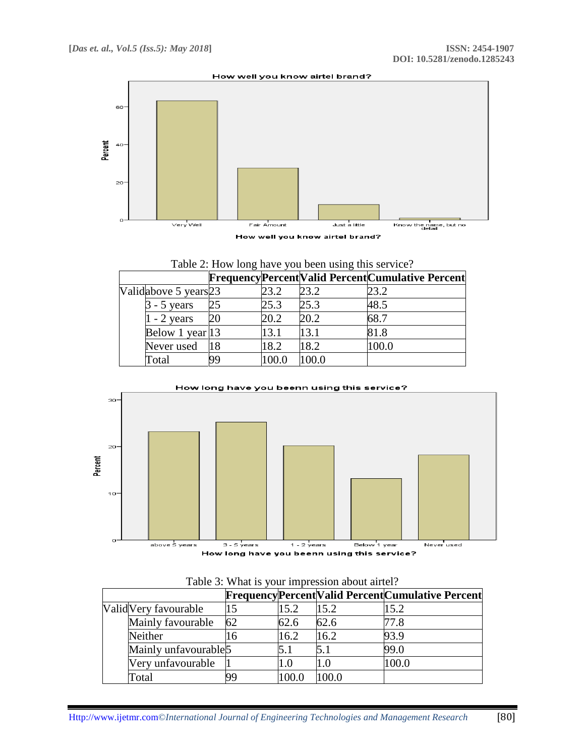



How well you know airtel brand?

Table 2: How long have you been using this service?

|                       |    |       |       | FrequencyPercent Valid Percent Cumulative Percent |
|-----------------------|----|-------|-------|---------------------------------------------------|
| Validabove 5 years 23 |    | 23.2  | 23.2  | 23.2                                              |
| $3 - 5$ years         | 25 | 25.3  | 25.3  | 48.5                                              |
| $1 - 2$ years         | 20 | 20.2  | 20.2  | 68.7                                              |
| Below 1 year 13       |    | 13.1  | 13.1  | 81.8                                              |
| Never used            | 18 | 18.2  | 18.2  | 100.0                                             |
| Total                 | 99 | 100.0 | 100.0 |                                                   |



|  |  | Table 3: What is your impression about airtel? |
|--|--|------------------------------------------------|
|  |  |                                                |

|                                  |    |         |       | <b>FrequencyPercent Valid Percent Cumulative Percent</b> |
|----------------------------------|----|---------|-------|----------------------------------------------------------|
| ValidVery favourable             |    | 15.2    | 15.2  | 15.2                                                     |
| Mainly favourable                | 62 | 62.6    | 62.6  | 77.8                                                     |
| Neither                          | 16 | 16.2    | 16.2  | 93.9                                                     |
| Mainly unfavourable <sup>5</sup> |    | 5.1     | 5.1   | 99.0                                                     |
| Very unfavourable                |    | $0.1\,$ |       | 100.0                                                    |
| Total                            |    | 100.0   | 100.0 |                                                          |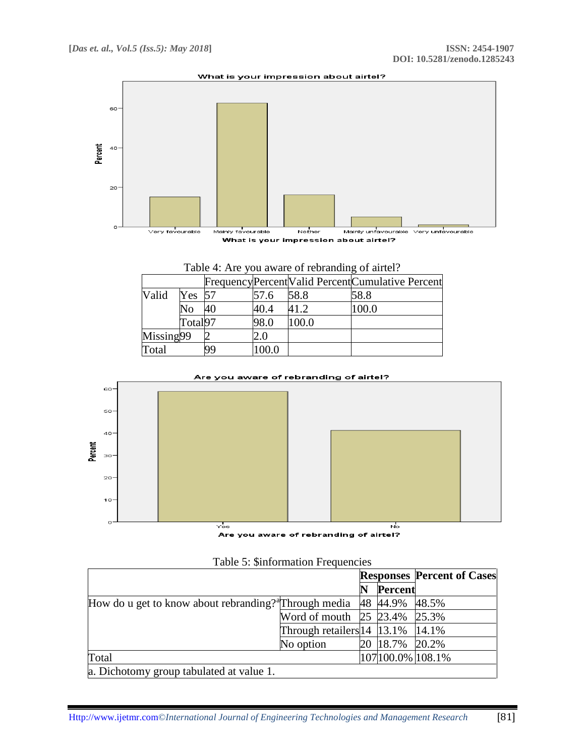What is your impression about airtel?



| Table 4: Are you aware of rebranding of airtel? |  |  |  |  |  |
|-------------------------------------------------|--|--|--|--|--|
|-------------------------------------------------|--|--|--|--|--|

|           |                     |       |       | Frequency Percent Valid Percent Cumulative Percent |
|-----------|---------------------|-------|-------|----------------------------------------------------|
| Valid     | Yes 57              | 57.6  | 58.8  | 58.8                                               |
|           | No                  | 40.4  | 41.2  | 100.0                                              |
|           | Total <sub>97</sub> | 98.0  | 100.0 |                                                    |
| Missing99 |                     | 2.0   |       |                                                    |
| Total     |                     | 100.0 |       |                                                    |



Are you aware of rebranding of airtel?

| Table 5: \$information Frequencies                                                    |                                                |  |                |                                   |  |  |  |  |
|---------------------------------------------------------------------------------------|------------------------------------------------|--|----------------|-----------------------------------|--|--|--|--|
|                                                                                       |                                                |  |                | <b>Responses Percent of Cases</b> |  |  |  |  |
|                                                                                       |                                                |  | Percent        |                                   |  |  |  |  |
| How do u get to know about rebranding? <sup>a</sup> Through media $\,$ 48 44.9% 48.5% |                                                |  |                |                                   |  |  |  |  |
|                                                                                       | Word of mouth 25 23.4% 25.3%                   |  |                |                                   |  |  |  |  |
|                                                                                       | Through retailers $14 \mid 13.1\% \mid 14.1\%$ |  |                |                                   |  |  |  |  |
|                                                                                       | No option                                      |  | 20 18.7% 20.2% |                                   |  |  |  |  |

a. Dichotomy group tabulated at value 1.

Total 107|100.0% 108.1%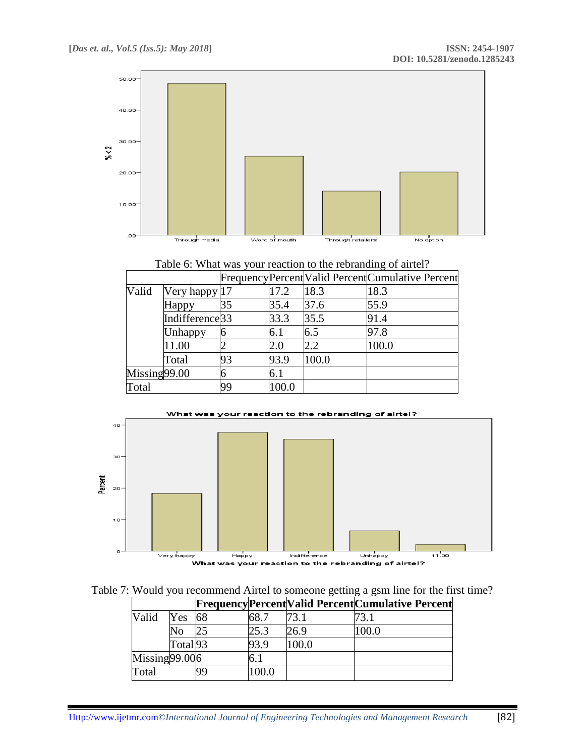

#### Table 6: What was your reaction to the rebranding of airtel?

|              |                            |    |         |       | FrequencyPercent Valid Percent Cumulative Percent |
|--------------|----------------------------|----|---------|-------|---------------------------------------------------|
| Valid        | Very happy $ 17$           |    | 17.2    | 18.3  | 18.3                                              |
|              | Happy                      |    | 35.4    | 37.6  | 55.9                                              |
|              | Indifference <sup>33</sup> |    | 33.3    | 35.5  | 91.4                                              |
|              | Unhappy                    |    | 6.1     | 6.5   | 97.8                                              |
|              | 11.00                      |    | $2.0\,$ | 2.2   | 100.0                                             |
|              | Total                      | 93 | 93.9    | 100.0 |                                                   |
| Missing99.00 |                            | n  | 6.1     |       |                                                   |
| Total        |                            | 99 | 100.0   |       |                                                   |



|  | Table 7: Would you recommend Airtel to someone getting a gsm line for the first time? |  |  |
|--|---------------------------------------------------------------------------------------|--|--|
|  |                                                                                       |  |  |

|                     |                     |    |       |       | <b>FrequencyPercentValid Percent Cumulative Percent</b> |
|---------------------|---------------------|----|-------|-------|---------------------------------------------------------|
| Valid               | Yes                 |    |       |       |                                                         |
|                     | No.                 |    | 25.3  | 26.9  | .00.0                                                   |
|                     | Total <sup>93</sup> |    | 93.9  | 100.0 |                                                         |
| $Missing$ 99.00 $6$ |                     |    |       |       |                                                         |
| Total               |                     | 99 | 100.0 |       |                                                         |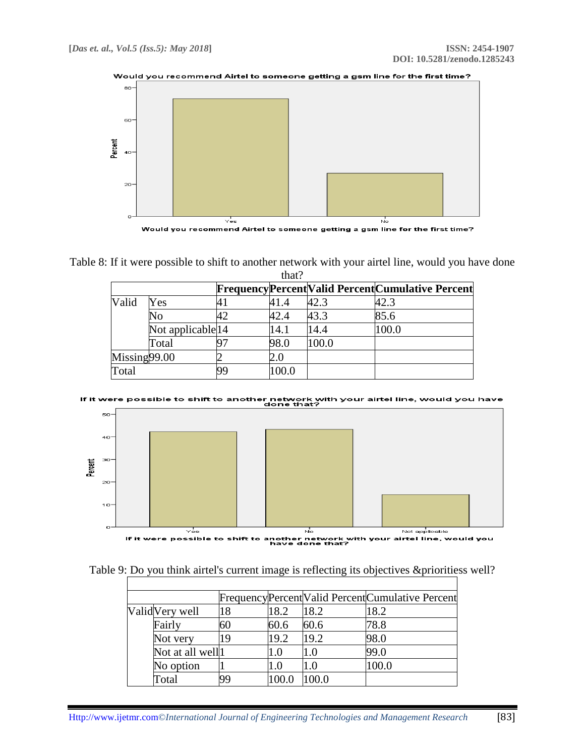

Would you recommend Airtel to someone getting a gsm line for the first time?



|               |                   | uiai : |       |                                                         |
|---------------|-------------------|--------|-------|---------------------------------------------------------|
|               |                   |        |       | <b>FrequencyPercentValid Percent Cumulative Percent</b> |
| Valid         | Yes               | 41.4   | 42.3  | 42.3                                                    |
|               | N٥                | 42.4   | 43.3  | 85.6                                                    |
|               | Not applicable 14 | 14.1   | 14.4  | 100.0                                                   |
|               | Total             | 98.0   | 100.0 |                                                         |
| Missing 99.00 |                   | 2.0    |       |                                                         |
| Total         |                   | 100.0  |       |                                                         |

If it were possible to shift to another network with your airtel line, would you have<br>done that?



Table 9: Do you think airtel's current image is reflecting its objectives &prioritiess well?

|                              |    |      |      | FrequencyPercent Valid Percent Cumulative Percent |
|------------------------------|----|------|------|---------------------------------------------------|
| ValidVery well               | 18 | 18.2 | 18.2 | 18.2                                              |
| Fairly                       | 60 | 60.6 | 60.6 | 78.8                                              |
| Not very                     | 19 | 19.2 | 19.2 | 98.0                                              |
| Not at all well <sup>1</sup> |    | -0   |      | 99.0                                              |
| No option                    |    | -0   |      | 00.0                                              |
| Total                        | 99 |      |      |                                                   |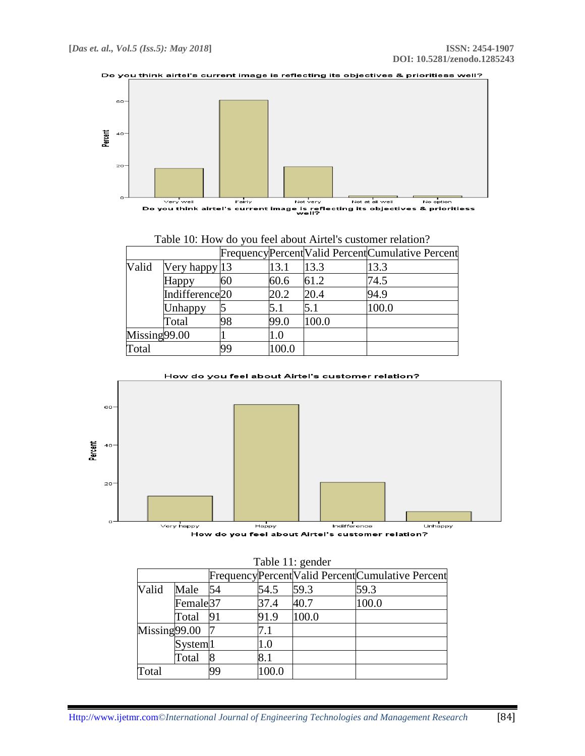



Do you think airtel's curr ent image is reflecting its objective<br>well? s & prioritiess

|                 |                            |    |       |       | Frequency Percent Valid Percent Cumulative Percent |
|-----------------|----------------------------|----|-------|-------|----------------------------------------------------|
| Valid           | Very happy 13              |    | 13.1  | 13.3  | 13.3                                               |
|                 | Happy                      | 60 | 60.6  | 61.2  | 74.5                                               |
|                 | Indifference <sub>20</sub> |    | 20.2  | 20.4  | 94.9                                               |
|                 | <b>Unhappy</b>             |    | 5.1   | 5.1   | 100.0                                              |
|                 | Total                      | 98 | 99.0  | 100.0 |                                                    |
| $Missing$ 99.00 |                            |    | 1.0   |       |                                                    |
| Total           |                            | 99 | 100.0 |       |                                                    |

|  |  | Table 10: How do you feel about Airtel's customer relation? |
|--|--|-------------------------------------------------------------|
|  |  |                                                             |



How do you feel about Airtel's customer relation?

How do you feel about Airtel's customer relation?

|               |                      |    |       | Table II: gender |                                                   |
|---------------|----------------------|----|-------|------------------|---------------------------------------------------|
|               |                      |    |       |                  | FrequencyPercent Valid Percent Cumulative Percent |
| Valid         | Male                 | 54 | 54.5  | 59.3             | 59.3                                              |
|               | Female <sup>37</sup> |    | 37.4  | 40.7             | 100.0                                             |
|               | Total                | 91 | 91.9  | 100.0            |                                                   |
| Missing 99.00 |                      |    | 7.1   |                  |                                                   |
|               | System <sup>1</sup>  |    | 1.0   |                  |                                                   |
|               | Total                |    | 8.1   |                  |                                                   |
| Total         |                      | 99 | 100.0 |                  |                                                   |

## Table 11: gender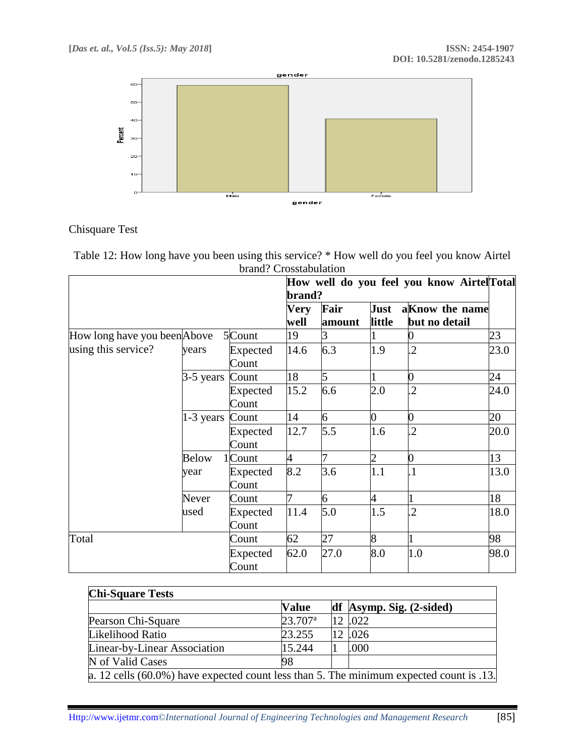

Chisquare Test

Table 12: How long have you been using this service? \* How well do you feel you know Airtel brand? Crosstabulation

|                              |                 |                          | How well do you feel you know Airtel Total<br>brand? |                 |                |                                 |      |  |
|------------------------------|-----------------|--------------------------|------------------------------------------------------|-----------------|----------------|---------------------------------|------|--|
|                              |                 |                          | <b>Very</b><br>well                                  | Fair<br>amount  | Just<br>little | aKnow the name<br>but no detail |      |  |
| How long have you been Above |                 | 5Count                   | 19                                                   |                 |                | 0                               | 23   |  |
| using this service?          | years           | Expected<br>Count        | 14.6                                                 | 6.3             | 1.9            | $\overline{2}$                  | 23.0 |  |
|                              | 3-5 years Count |                          | 18                                                   | 5               |                | 0                               | 24   |  |
|                              |                 | Expected<br>Count        | 15.2                                                 | 6.6             | 2.0            | $\overline{2}$                  | 24.0 |  |
|                              | 1-3 years Count |                          | 14                                                   | 6               | 0              | $\overline{0}$                  | 20   |  |
|                              |                 | <b>Expected</b><br>Count | 12.7                                                 | 5.5             | 1.6            | $\overline{2}$                  | 20.0 |  |
|                              | <b>Below</b>    | 1Count                   | 4                                                    | 7               | $\overline{2}$ | 0                               | 13   |  |
|                              | year            | Expected<br>Count        | 8.2                                                  | 3.6             | 1.1            | $\cdot$                         | 13.0 |  |
|                              | Never           | Count                    | 7                                                    | $6\overline{6}$ | 4              |                                 | 18   |  |
|                              | used            | Expected<br>Count        | 11.4                                                 | 5.0             | 1.5            | $\overline{2}$                  | 18.0 |  |
| Total                        |                 | Count                    | 62                                                   | 27              | 8              |                                 | 98   |  |
|                              |                 | Expected<br>Count        | 62.0                                                 | 27.0            | 8.0            | 1.0                             | 98.0 |  |

| <b>Chi-Square Tests</b>      |                                                                                            |  |                                     |  |  |  |  |
|------------------------------|--------------------------------------------------------------------------------------------|--|-------------------------------------|--|--|--|--|
|                              | <b>Value</b>                                                                               |  | $df$ Asymp. Sig. $(2\text{-sided})$ |  |  |  |  |
| Pearson Chi-Square           | $23.707^{\rm a}$                                                                           |  | 12 .022                             |  |  |  |  |
| Likelihood Ratio             | 23.255                                                                                     |  | 12.026                              |  |  |  |  |
| Linear-by-Linear Association | 15.244                                                                                     |  | .000                                |  |  |  |  |
| N of Valid Cases             | 98                                                                                         |  |                                     |  |  |  |  |
|                              | a. 12 cells $(60.0\%)$ have expected count less than 5. The minimum expected count is .13. |  |                                     |  |  |  |  |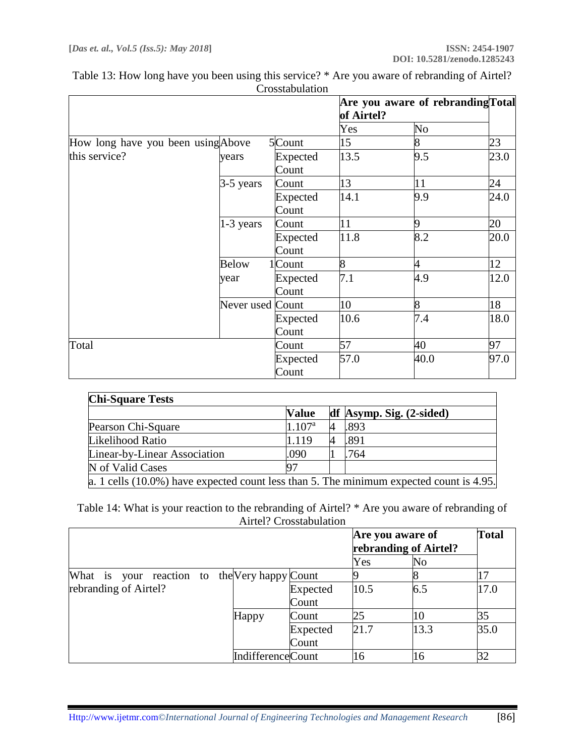|                                    |                  |                   | Are you aware of rebrandingTotal<br>of Airtel? |      |      |
|------------------------------------|------------------|-------------------|------------------------------------------------|------|------|
|                                    |                  |                   | Yes                                            | No   |      |
| How long have you been using Above |                  | 5Count            | 15                                             | 8    | 23   |
| this service?                      | years            | Expected<br>Count | 13.5                                           | 9.5  | 23.0 |
|                                    | $3-5$ years      | Count             | 13                                             | 11   | 24   |
|                                    |                  | Expected<br>Count | 14.1                                           | 9.9  | 24.0 |
|                                    | $1-3$ years      | Count             | 11                                             | 9    | 20   |
|                                    |                  | Expected<br>Count | 11.8                                           | 8.2  | 20.0 |
|                                    | <b>Below</b>     | 1Count            | 8                                              | 4    | 12   |
|                                    | year             | Expected<br>Count | 7.1                                            | 4.9  | 12.0 |
|                                    | Never used Count |                   | 10                                             | 8    | 18   |
|                                    |                  | Expected<br>Count | 10.6                                           | 7.4  | 18.0 |
| Total                              |                  | Count             | 57                                             | 40   | 97   |
|                                    |                  | Expected<br>Count | 57.0                                           | 40.0 | 97.0 |

| Table 13: How long have you been using this service? * Are you aware of rebranding of Airtel? |  |
|-----------------------------------------------------------------------------------------------|--|
| Crosstabulation                                                                               |  |

| <b>Chi-Square Tests</b>      |                                                                                                 |   |                                     |  |  |  |
|------------------------------|-------------------------------------------------------------------------------------------------|---|-------------------------------------|--|--|--|
|                              | Value                                                                                           |   | $df$ Asymp. Sig. $(2\text{-sided})$ |  |  |  |
| Pearson Chi-Square           | 1.107 <sup>a</sup>                                                                              | 4 | .893                                |  |  |  |
| Likelihood Ratio             | 1.119                                                                                           | И | .891                                |  |  |  |
| Linear-by-Linear Association | .090                                                                                            |   | .764                                |  |  |  |
| N of Valid Cases             |                                                                                                 |   |                                     |  |  |  |
|                              | $\alpha$ . 1 cells (10.0%) have expected count less than 5. The minimum expected count is 4.95. |   |                                     |  |  |  |

Table 14: What is your reaction to the rebranding of Airtel? \* Are you aware of rebranding of Airtel? Crosstabulation

|                                               |                          |          | Are you aware of<br>rebranding of Airtel? |                | <b>Total</b> |
|-----------------------------------------------|--------------------------|----------|-------------------------------------------|----------------|--------------|
|                                               |                          |          | Yes                                       | N <sub>0</sub> |              |
| What is your reaction to the Very happy Count |                          |          |                                           |                | 17           |
| rebranding of Airtel?                         |                          | Expected | 10.5                                      | 6.5            | 17.0         |
|                                               |                          | Count    |                                           |                |              |
|                                               | Happy                    | Count    | 25                                        | 10             | 35           |
|                                               |                          | Expected | 21.7                                      | 13.3           | 35.0         |
|                                               |                          | Count    |                                           |                |              |
|                                               | <b>IndifferenceCount</b> |          | 16                                        | 16             | 32           |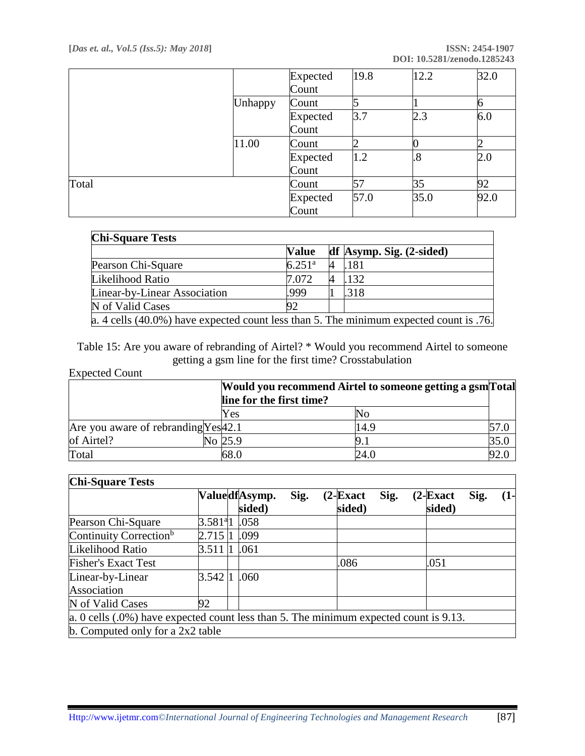|       |         | <b>Expected</b> | 19.8 | 12.2            | 32.0 |
|-------|---------|-----------------|------|-----------------|------|
|       |         | Count           |      |                 |      |
|       | Unhappy | Count           |      |                 |      |
|       |         | <b>Expected</b> | 3.7  | 2.3             | 6.0  |
|       |         | Count           |      |                 |      |
|       | 11.00   | Count           |      |                 |      |
|       |         | <b>Expected</b> | 1.2  | $\overline{.8}$ | 2.0  |
|       |         | Count           |      |                 |      |
| Total |         | Count           | 57   | 35              | 92   |
|       |         | <b>Expected</b> | 57.0 | 35.0            | 92.0 |
|       |         | Count           |      |                 |      |

| <b>Chi-Square Tests</b>      |                                                                                           |  |                                     |  |  |  |
|------------------------------|-------------------------------------------------------------------------------------------|--|-------------------------------------|--|--|--|
|                              | <b>Value</b>                                                                              |  | $df$ Asymp. Sig. $(2\text{-sided})$ |  |  |  |
| Pearson Chi-Square           | $6.251^{\rm a}$                                                                           |  | ! 181                               |  |  |  |
| Likelihood Ratio             | 7.072                                                                                     |  | L <sub>132</sub>                    |  |  |  |
| Linear-by-Linear Association | .999                                                                                      |  | .318                                |  |  |  |
| N of Valid Cases             | 92                                                                                        |  |                                     |  |  |  |
|                              | a. 4 cells $(40.0\%)$ have expected count less than 5. The minimum expected count is .76. |  |                                     |  |  |  |

Table 15: Are you aware of rebranding of Airtel? \* Would you recommend Airtel to someone getting a gsm line for the first time? Crosstabulation

#### Expected Count

|                                                 | Would you recommend Airtel to someone getting a gsm Total<br>line for the first time? |      |  |
|-------------------------------------------------|---------------------------------------------------------------------------------------|------|--|
|                                                 | Yes                                                                                   |      |  |
| Are you aware of rebranding Yes <sup>42.1</sup> |                                                                                       | 14.9 |  |
| of Airtel?                                      | No 25.9                                                                               |      |  |
| Total                                           |                                                                                       |      |  |

| <b>Chi-Square Tests</b>                                                                       |                         |                         |      |                       |      |                       |      |        |
|-----------------------------------------------------------------------------------------------|-------------------------|-------------------------|------|-----------------------|------|-----------------------|------|--------|
|                                                                                               |                         | ValuedfAsymp.<br>sided) | Sig. | $(2$ -Exact<br>sided) | Sig. | $(2$ -Exact<br>sided) | Sig. | $(1 -$ |
| Pearson Chi-Square                                                                            | $3.581^{a}1$            | .058                    |      |                       |      |                       |      |        |
| Continuity Correction <sup>b</sup>                                                            | 2.715 1                 | .099                    |      |                       |      |                       |      |        |
| Likelihood Ratio                                                                              | 3.511                   | .061                    |      |                       |      |                       |      |        |
| <b>Fisher's Exact Test</b>                                                                    |                         |                         |      | .086                  |      | .051                  |      |        |
| Linear-by-Linear<br>Association                                                               | $3.542 \,   \mathbf{1}$ | .060                    |      |                       |      |                       |      |        |
| N of Valid Cases                                                                              | 92                      |                         |      |                       |      |                       |      |        |
| $\alpha$ . 0 cells (.0%) have expected count less than 5. The minimum expected count is 9.13. |                         |                         |      |                       |      |                       |      |        |
| $\mathbf b$ . Computed only for a 2x2 table                                                   |                         |                         |      |                       |      |                       |      |        |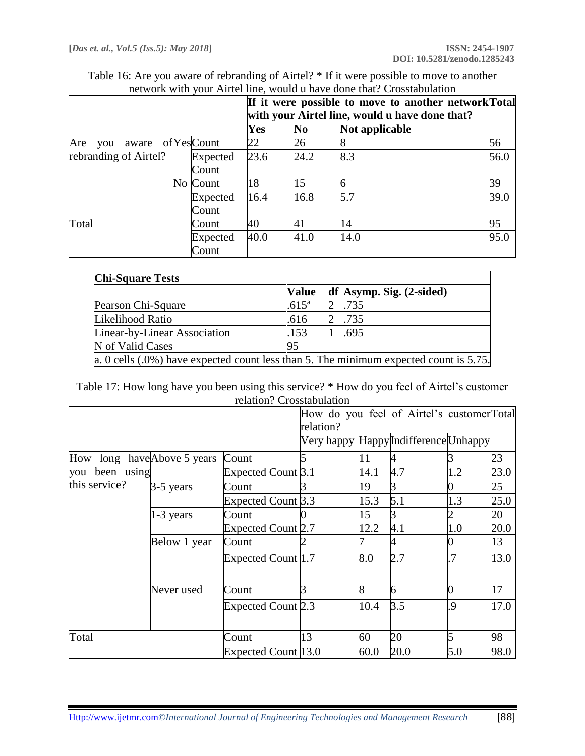|                                 |          |      |                | network with your ranter may, would a have done that. Crossiaountion |      |
|---------------------------------|----------|------|----------------|----------------------------------------------------------------------|------|
|                                 |          |      |                | If it were possible to move to another network Total                 |      |
|                                 |          |      |                | with your Airtel line, would u have done that?                       |      |
|                                 |          | Yes  | N <sub>0</sub> | Not applicable                                                       |      |
| aware of YesCount<br>Are<br>you |          | 22   | 26             |                                                                      | 56   |
| rebranding of Airtel?           | Expected | 23.6 | 24.2           | 8.3                                                                  | 56.0 |
|                                 | Count    |      |                |                                                                      |      |
|                                 | No Count | 18   | 15             |                                                                      | 39   |
|                                 | Expected | 16.4 | 16.8           | 5.7                                                                  | 39.0 |
|                                 | Count    |      |                |                                                                      |      |
| Total                           | Count    | 40   | 41             | 14                                                                   | 95   |
|                                 | Expected | 40.0 | 41.0           | 14.0                                                                 | 95.0 |
|                                 | Count    |      |                |                                                                      |      |

| Table 16: Are you aware of rebranding of Airtel? * If it were possible to move to another |  |
|-------------------------------------------------------------------------------------------|--|
| network with your Airtel line, would u have done that? Crosstabulation                    |  |

| <b>Chi-Square Tests</b>                                                                       |                |  |                            |  |  |  |
|-----------------------------------------------------------------------------------------------|----------------|--|----------------------------|--|--|--|
|                                                                                               | Value          |  | $df$ Asymp. Sig. (2-sided) |  |  |  |
| Pearson Chi-Square                                                                            | $.615^{\rm a}$ |  | .735                       |  |  |  |
| Likelihood Ratio                                                                              | .616           |  | .735                       |  |  |  |
| Linear-by-Linear Association                                                                  | 153            |  | .695                       |  |  |  |
| N of Valid Cases                                                                              | 95             |  |                            |  |  |  |
| $\alpha$ . 0 cells (.0%) have expected count less than 5. The minimum expected count is 5.75. |                |  |                            |  |  |  |

Table 17: How long have you been using this service? \* How do you feel of Airtel's customer relation? Crosstabulation

|                             |              |                           |           |      | How do you feel of Airtel's customer Total |                |      |
|-----------------------------|--------------|---------------------------|-----------|------|--------------------------------------------|----------------|------|
|                             |              |                           | relation? |      |                                            |                |      |
|                             |              |                           |           |      | Very happy Happy Indifference Unhappy      |                |      |
| How long have Above 5 years |              | Count                     |           | 11   | 4                                          |                | 23   |
| you been using              |              | Expected Count 3.1        |           | 14.1 | 4.7                                        | 1.2            | 23.0 |
| this service?<br>3-5 years  |              | Count                     |           | 19   | 3                                          |                | 25   |
|                             |              | <b>Expected Count 3.3</b> |           | 15.3 | 5.1                                        | 1.3            | 25.0 |
|                             | $1-3$ years  | Count                     |           | 15   | 3                                          |                | 20   |
|                             |              | <b>Expected Count 2.7</b> |           | 12.2 | 4.1                                        | 1.0            | 20.0 |
|                             | Below 1 year | Count                     |           |      |                                            |                | 13   |
|                             |              | <b>Expected Count 1.7</b> |           | 8.0  | 2.7                                        | $\overline{7}$ | 13.0 |
|                             | Never used   | Count                     |           | 8    | 6                                          | 0              | 17   |
|                             |              | <b>Expected Count 2.3</b> |           | 10.4 | 3.5                                        | 9              | 17.0 |
| Total                       |              | Count                     | 13        | 60   | 20                                         | 5              | 98   |
|                             |              | Expected Count 13.0       |           | 60.0 | 20.0                                       | 5.0            | 98.0 |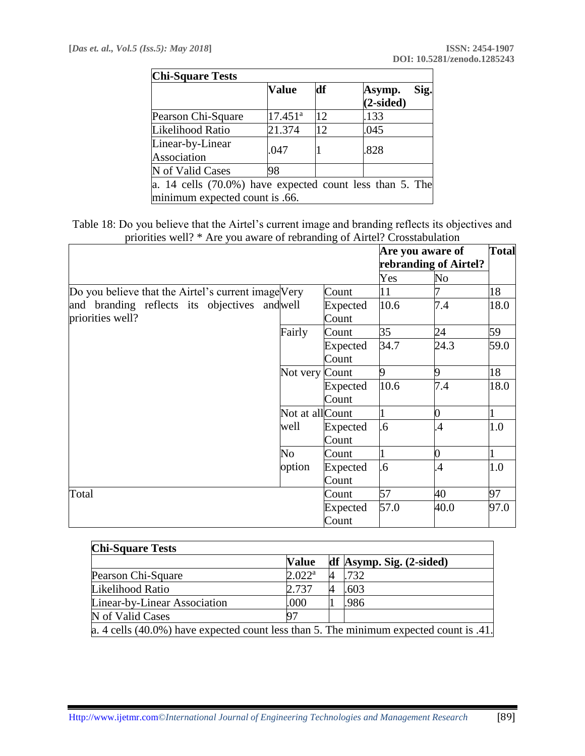| <b>Chi-Square Tests</b>                                                                       |              |    |                               |  |  |  |
|-----------------------------------------------------------------------------------------------|--------------|----|-------------------------------|--|--|--|
|                                                                                               | <b>Value</b> | df | Sig.<br>Asymp.<br>$(2-sided)$ |  |  |  |
| Pearson Chi-Square                                                                            | $17.451^a$   | 12 | .133                          |  |  |  |
| Likelihood Ratio                                                                              | 21.374       | 12 | .045                          |  |  |  |
| Linear-by-Linear<br>Association                                                               | .047         |    | .828                          |  |  |  |
| N of Valid Cases                                                                              | 98           |    |                               |  |  |  |
| a. 14 cells $(70.0\%)$ have expected count less than 5. The<br>minimum expected count is .66. |              |    |                               |  |  |  |

Table 18: Do you believe that the Airtel's current image and branding reflects its objectives and priorities well? \* Are you aware of rebranding of Airtel? Crosstabulation

|                                                                   |                 |                   | Are you aware of<br>rebranding of Airtel? | <b>Total</b>   |      |
|-------------------------------------------------------------------|-----------------|-------------------|-------------------------------------------|----------------|------|
|                                                                   |                 |                   | Yes                                       | No             |      |
| Do you believe that the Airtel's current image Very               |                 | Count             | 11                                        |                | 18   |
| and branding reflects its objectives and well<br>priorities well? |                 | Expected<br>Count | 10.6                                      | 7.4            | 18.0 |
|                                                                   | Fairly          | Count             | 35                                        | 24             | 59   |
|                                                                   |                 | Expected<br>Count | 34.7                                      | 24.3           | 59.0 |
|                                                                   | Not very Count  |                   | 9                                         | 9              | 18   |
|                                                                   |                 | Expected<br>Count | 10.6                                      | 7.4            | 18.0 |
|                                                                   | Not at allCount |                   |                                           | $\overline{0}$ |      |
|                                                                   | well            | Expected<br>Count | $6 \times$                                | $\overline{A}$ | 1.0  |
|                                                                   | No              | Count             |                                           | $\overline{0}$ |      |
|                                                                   | option          | Expected<br>Count | .6                                        | .4             | 1.0  |
| Total                                                             |                 | Count             | 57                                        | 40             | 97   |
|                                                                   |                 | Expected<br>Count | 57.0                                      | 40.0           | 97.0 |

| <b>Chi-Square Tests</b>                                                                        |                 |                |                                     |  |  |  |
|------------------------------------------------------------------------------------------------|-----------------|----------------|-------------------------------------|--|--|--|
|                                                                                                | <b>Value</b>    |                | $df$ Asymp. Sig. $(2\text{-sided})$ |  |  |  |
| Pearson Chi-Square                                                                             | $2.022^{\rm a}$ | $\overline{A}$ | 1.732                               |  |  |  |
| Likelihood Ratio                                                                               | 2.737           | 4              | .603                                |  |  |  |
| Linear-by-Linear Association                                                                   | .000            |                | .986                                |  |  |  |
| N of Valid Cases                                                                               |                 |                |                                     |  |  |  |
| $\alpha$ . 4 cells (40.0%) have expected count less than 5. The minimum expected count is .41. |                 |                |                                     |  |  |  |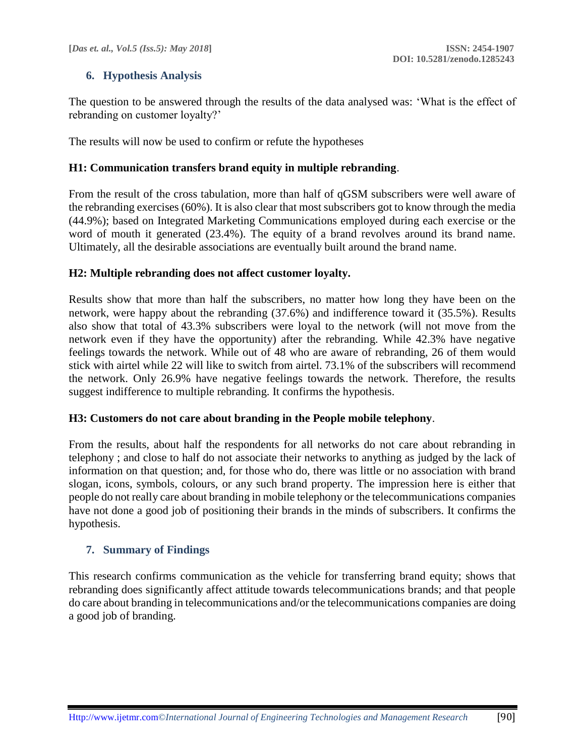## **6. Hypothesis Analysis**

The question to be answered through the results of the data analysed was: 'What is the effect of rebranding on customer loyalty?'

The results will now be used to confirm or refute the hypotheses

## **H1: Communication transfers brand equity in multiple rebranding**.

From the result of the cross tabulation, more than half of qGSM subscribers were well aware of the rebranding exercises (60%). It is also clear that most subscribers got to know through the media (44.9%); based on Integrated Marketing Communications employed during each exercise or the word of mouth it generated (23.4%). The equity of a brand revolves around its brand name. Ultimately, all the desirable associations are eventually built around the brand name.

## **H2: Multiple rebranding does not affect customer loyalty.**

Results show that more than half the subscribers, no matter how long they have been on the network, were happy about the rebranding (37.6%) and indifference toward it (35.5%). Results also show that total of 43.3% subscribers were loyal to the network (will not move from the network even if they have the opportunity) after the rebranding. While 42.3% have negative feelings towards the network. While out of 48 who are aware of rebranding, 26 of them would stick with airtel while 22 will like to switch from airtel. 73.1% of the subscribers will recommend the network. Only 26.9% have negative feelings towards the network. Therefore, the results suggest indifference to multiple rebranding. It confirms the hypothesis.

### **H3: Customers do not care about branding in the People mobile telephony**.

From the results, about half the respondents for all networks do not care about rebranding in telephony ; and close to half do not associate their networks to anything as judged by the lack of information on that question; and, for those who do, there was little or no association with brand slogan, icons, symbols, colours, or any such brand property. The impression here is either that people do not really care about branding in mobile telephony or the telecommunications companies have not done a good job of positioning their brands in the minds of subscribers. It confirms the hypothesis.

### **7. Summary of Findings**

This research confirms communication as the vehicle for transferring brand equity; shows that rebranding does significantly affect attitude towards telecommunications brands; and that people do care about branding in telecommunications and/or the telecommunications companies are doing a good job of branding.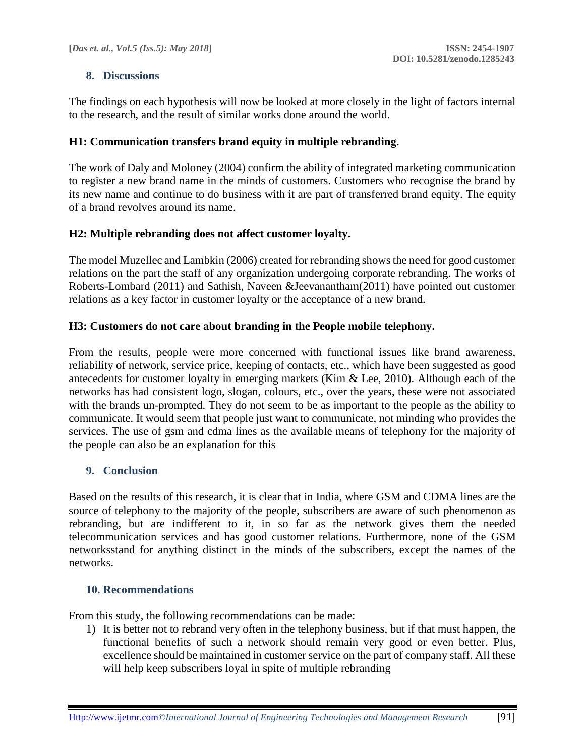## **8. Discussions**

The findings on each hypothesis will now be looked at more closely in the light of factors internal to the research, and the result of similar works done around the world.

## **H1: Communication transfers brand equity in multiple rebranding**.

The work of Daly and Moloney (2004) confirm the ability of integrated marketing communication to register a new brand name in the minds of customers. Customers who recognise the brand by its new name and continue to do business with it are part of transferred brand equity. The equity of a brand revolves around its name.

## **H2: Multiple rebranding does not affect customer loyalty.**

The model Muzellec and Lambkin (2006) created for rebranding shows the need for good customer relations on the part the staff of any organization undergoing corporate rebranding. The works of Roberts-Lombard (2011) and Sathish, Naveen &Jeevanantham(2011) have pointed out customer relations as a key factor in customer loyalty or the acceptance of a new brand.

## **H3: Customers do not care about branding in the People mobile telephony.**

From the results, people were more concerned with functional issues like brand awareness, reliability of network, service price, keeping of contacts, etc., which have been suggested as good antecedents for customer loyalty in emerging markets (Kim & Lee, 2010). Although each of the networks has had consistent logo, slogan, colours, etc., over the years, these were not associated with the brands un-prompted. They do not seem to be as important to the people as the ability to communicate. It would seem that people just want to communicate, not minding who provides the services. The use of gsm and cdma lines as the available means of telephony for the majority of the people can also be an explanation for this

## **9. Conclusion**

Based on the results of this research, it is clear that in India, where GSM and CDMA lines are the source of telephony to the majority of the people, subscribers are aware of such phenomenon as rebranding, but are indifferent to it, in so far as the network gives them the needed telecommunication services and has good customer relations. Furthermore, none of the GSM networksstand for anything distinct in the minds of the subscribers, except the names of the networks.

### **10. Recommendations**

From this study, the following recommendations can be made:

1) It is better not to rebrand very often in the telephony business, but if that must happen, the functional benefits of such a network should remain very good or even better. Plus, excellence should be maintained in customer service on the part of company staff. All these will help keep subscribers loyal in spite of multiple rebranding